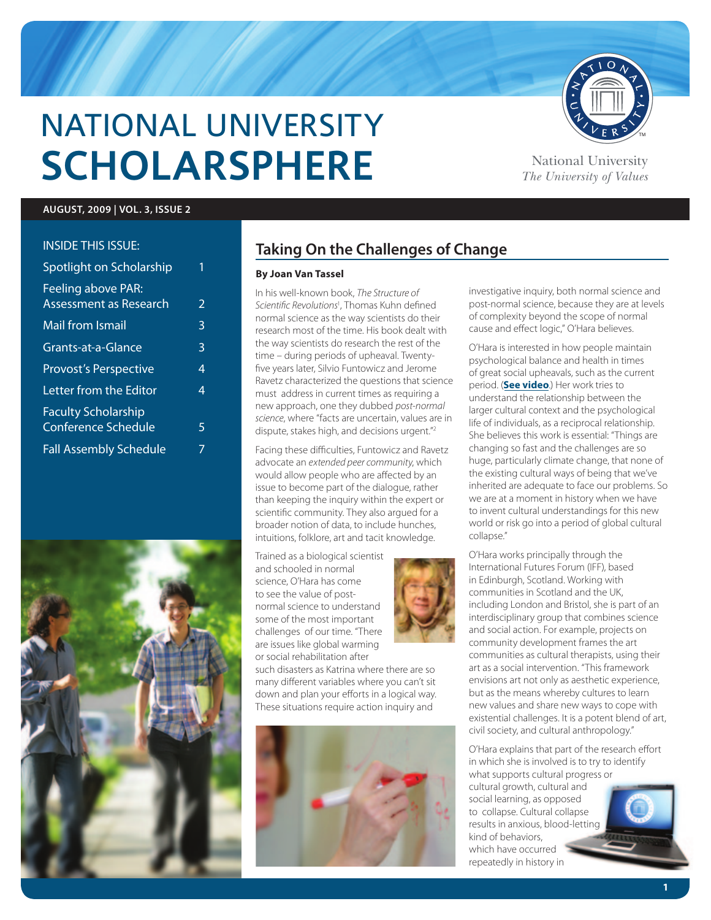

# National University **SCHOLARSPHERE** National University

*The University of Values*

TM

#### **AUGUST, 2009 | VOL. 3, ISSUE 2**

#### Inside this issue:

| Spotlight on Scholarship                                 | 1              |
|----------------------------------------------------------|----------------|
| <b>Feeling above PAR:</b><br>Assessment as Research      | $\overline{2}$ |
| Mail from Ismail                                         | 3              |
| Grants-at-a-Glance                                       | 3              |
| <b>Provost's Perspective</b>                             | 4              |
| Letter from the Editor                                   | 4              |
| <b>Faculty Scholarship</b><br><b>Conference Schedule</b> | 5              |
| <b>Fall Assembly Schedule</b>                            | 7              |
|                                                          |                |



## **Taking On the Challenges of Change**

#### **By Joan Van Tassel**

In his well-known book, *The Structure of Scientific Revolutions*<sup>1</sup> , Thomas Kuhn defined normal science as the way scientists do their research most of the time. His book dealt with the way scientists do research the rest of the time – during periods of upheaval. Twentyfive years later, Silvio Funtowicz and Jerome Ravetz characterized the questions that science must address in current times as requiring a new approach, one they dubbed *post-normal science*, where "facts are uncertain, values are in dispute, stakes high, and decisions urgent."2

Facing these difficulties, Funtowicz and Ravetz advocate an *extended peer community*, which would allow people who are affected by an issue to become part of the dialogue, rather than keeping the inquiry within the expert or scientific community. They also argued for a broader notion of data, to include hunches, intuitions, folklore, art and tacit knowledge.

Trained as a biological scientist and schooled in normal science, O'Hara has come to see the value of postnormal science to understand some of the most important challenges of our time. "There are issues like global warming or social rehabilitation after



such disasters as Katrina where there are so many different variables where you can't sit down and plan your efforts in a logical way. These situations require action inquiry and



investigative inquiry, both normal science and post-normal science, because they are at levels of complexity beyond the scope of normal cause and effect logic," O'Hara believes.

O'Hara is interested in how people maintain psychological balance and health in times of great social upheavals, such as the current period. (**See video**.) Her work tries to understand the relationship between the larger cultural context and the psychological life of individuals, as a reciprocal relationship. She believes this work is essential: "Things are changing so fast and the challenges are so huge, particularly climate change, that none of the existing cultural ways of being that we've inherited are adequate to face our problems. So we are at a moment in history when we have to invent cultural understandings for this new world or risk go into a period of global cultural collapse."

O'Hara works principally through the International Futures Forum (IFF), based in Edinburgh, Scotland. Working with communities in Scotland and the UK, including London and Bristol, she is part of an interdisciplinary group that combines science and social action. For example, projects on community development frames the art communities as cultural therapists, using their art as a social intervention. "This framework envisions art not only as aesthetic experience, but as the means whereby cultures to learn new values and share new ways to cope with existential challenges. It is a potent blend of art, civil society, and cultural anthropology."

O'Hara explains that part of the research effort in which she is involved is to try to identify what supports cultural progress or cultural growth, cultural and social learning, as opposed to collapse. Cultural collapse results in anxious, blood-letting kind of behaviors, which have occurred repeatedly in history in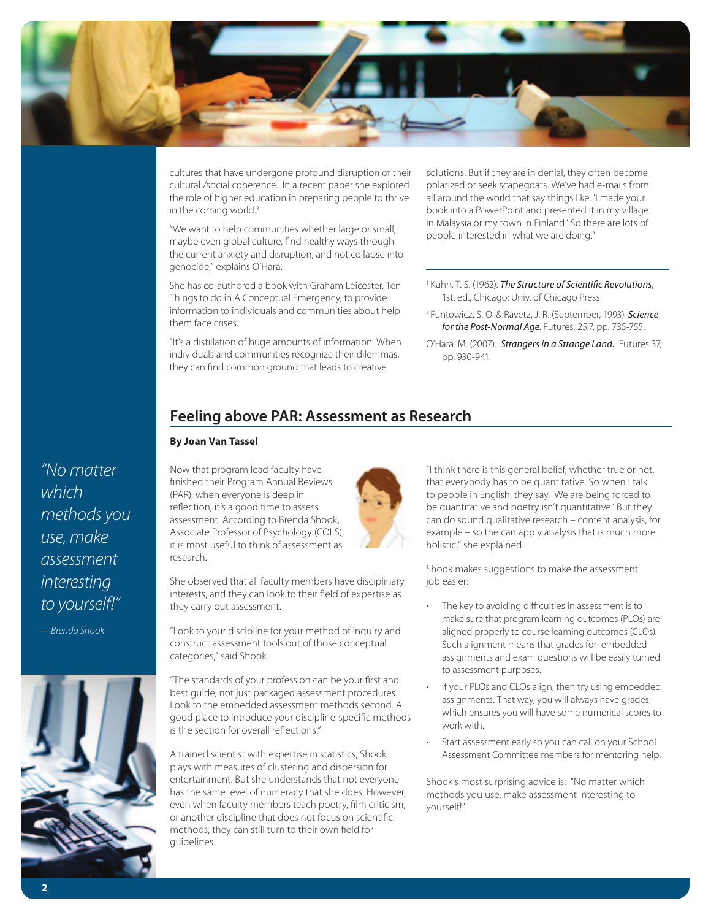

cultures that have undergone profound disruption of their cultural /social coherence. In a recent paper she explored the role of higher education in preparing people to thrive in the coming world.<sup>3</sup>

"We want to help communities whether large or small, maybe even global culture, find healthy ways through the current anxiety and disruption, and not collapse into genocide," explains O'Hara.

She has co-authored a book with Graham Leicester, Ten Things to do in A Conceptual Emergency, to provide information to individuals and communities about help them face crises.

"It's a distillation of huge amounts of information. When individuals and communities recognize their dilemmas, they can find common ground that leads to creative

solutions. But if they are in denial, they often become polarized or seek scapegoats. We've had e-mails from all around the world that say things like, 'I made your book into a PowerPoint and presented it in my village in Malaysia or my town in Finland.' So there are lots of people interested in what we are doing."

- 1 Kuhn, T. S. (1962). *The Structure of Scientific Revolutions*, 1st. ed., Chicago: Univ. of Chicago Press
- 2 Funtowicz, S. O. & Ravetz, J. R. (September, 1993). *Science for the Post-Normal Age*. Futures, 25:7, pp. 735-755.
- O'Hara. M. (2007). *Strangers in a Strange Land.* Futures 37, pp. 930-941.

## **Feeling above PAR: Assessment as Research**

#### **By Joan Van Tassel**

Now that program lead faculty have research. *"No matter methods you use, make assessment interesting* 

*—Brenda Shook*

*to yourself!"*

*which* 



finished their Program Annual Reviews (PAR), when everyone is deep in reflection, it's a good time to assess assessment. According to Brenda Shook, Associate Professor of Psychology (COLS), it is most useful to think of assessment as

She observed that all faculty members have disciplinary interests, and they can look to their field of expertise as they carry out assessment.

"Look to your discipline for your method of inquiry and construct assessment tools out of those conceptual categories," said Shook.

"The standards of your profession can be your first and best guide, not just packaged assessment procedures. Look to the embedded assessment methods second. A good place to introduce your discipline-specific methods is the section for overall reflections."

A trained scientist with expertise in statistics, Shook plays with measures of clustering and dispersion for entertainment. But she understands that not everyone has the same level of numeracy that she does. However, even when faculty members teach poetry, film criticism, or another discipline that does not focus on scientific methods, they can still turn to their own field for guidelines.



"I think there is this general belief, whether true or not, that everybody has to be quantitative. So when I talk to people in English, they say, 'We are being forced to be quantitative and poetry isn't quantitative.' But they can do sound qualitative research – content analysis, for example – so the can apply analysis that is much more holistic," she explained.

Shook makes suggestions to make the assessment job easier:

- The key to avoiding difficulties in assessment is to make sure that program learning outcomes (PLOs) are aligned properly to course learning outcomes (CLOs). Such alignment means that grades for embedded assignments and exam questions will be easily turned to assessment purposes.
- If your PLOs and CLOs align, then try using embedded assignments. That way, you will always have grades, which ensures you will have some numerical scores to work with.
- Start assessment early so you can call on your School Assessment Committee members for mentoring help.

Shook's most surprising advice is: "No matter which methods you use, make assessment interesting to yourself!"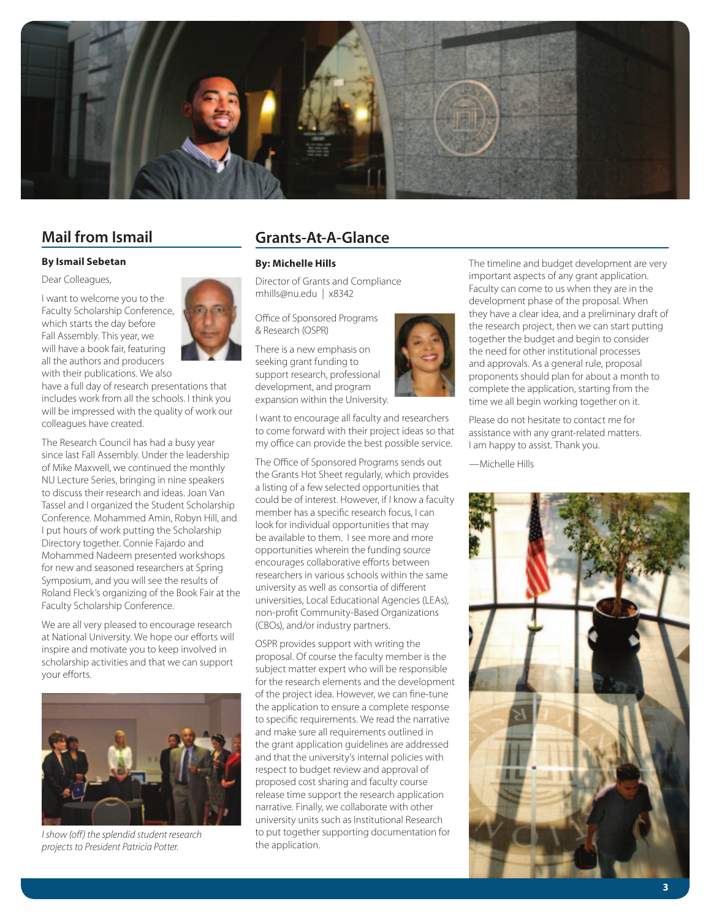

### **Mail from Ismail**

#### **By Ismail Sebetan**

Dear Colleagues,

I want to welcome you to the Faculty Scholarship Conference, which starts the day before Fall Assembly. This year, we will have a book fair, featuring all the authors and producers with their publications. We also

have a full day of research presentations that includes work from all the schools. I think you will be impressed with the quality of work our colleagues have created.

The Research Council has had a busy year since last Fall Assembly. Under the leadership of Mike Maxwell, we continued the monthly NU Lecture Series, bringing in nine speakers to discuss their research and ideas. Joan Van Tassel and I organized the Student Scholarship Conference. Mohammed Amin, Robyn Hill, and I put hours of work putting the Scholarship Directory together. Connie Fajardo and Mohammed Nadeem presented workshops for new and seasoned researchers at Spring Symposium, and you will see the results of Roland Fleck's organizing of the Book Fair at the Faculty Scholarship Conference.

We are all very pleased to encourage research at National University. We hope our efforts will inspire and motivate you to keep involved in scholarship activities and that we can support your efforts.



*I show (off) the splendid student research projects to President Patricia Potter.*

## **Grants-At-A-Glance**

#### **By: Michelle Hills**

Director of Grants and Compliance mhills@nu.edu | x8342

Office of Sponsored Programs & Research (OSPR)

There is a new emphasis on seeking grant funding to support research, professional development, and program expansion within the University.

I want to encourage all faculty and researchers to come forward with their project ideas so that my office can provide the best possible service.

The Office of Sponsored Programs sends out the Grants Hot Sheet regularly, which provides a listing of a few selected opportunities that could be of interest. However, if I know a faculty member has a specific research focus, I can look for individual opportunities that may be available to them. I see more and more opportunities wherein the funding source encourages collaborative efforts between researchers in various schools within the same university as well as consortia of different universities, Local Educational Agencies (LEAs), non-profit Community-Based Organizations (CBOs), and/or industry partners.

OSPR provides support with writing the proposal. Of course the faculty member is the subject matter expert who will be responsible for the research elements and the development of the project idea. However, we can fine-tune the application to ensure a complete response to specific requirements. We read the narrative and make sure all requirements outlined in the grant application guidelines are addressed and that the university's internal policies with respect to budget review and approval of proposed cost sharing and faculty course release time support the research application narrative. Finally, we collaborate with other university units such as Institutional Research to put together supporting documentation for the application.



The timeline and budget development are very important aspects of any grant application. Faculty can come to us when they are in the development phase of the proposal. When they have a clear idea, and a preliminary draft of the research project, then we can start putting together the budget and begin to consider the need for other institutional processes and approvals. As a general rule, proposal proponents should plan for about a month to complete the application, starting from the time we all begin working together on it.

Please do not hesitate to contact me for assistance with any grant-related matters. I am happy to assist. Thank you.

—Michelle Hills



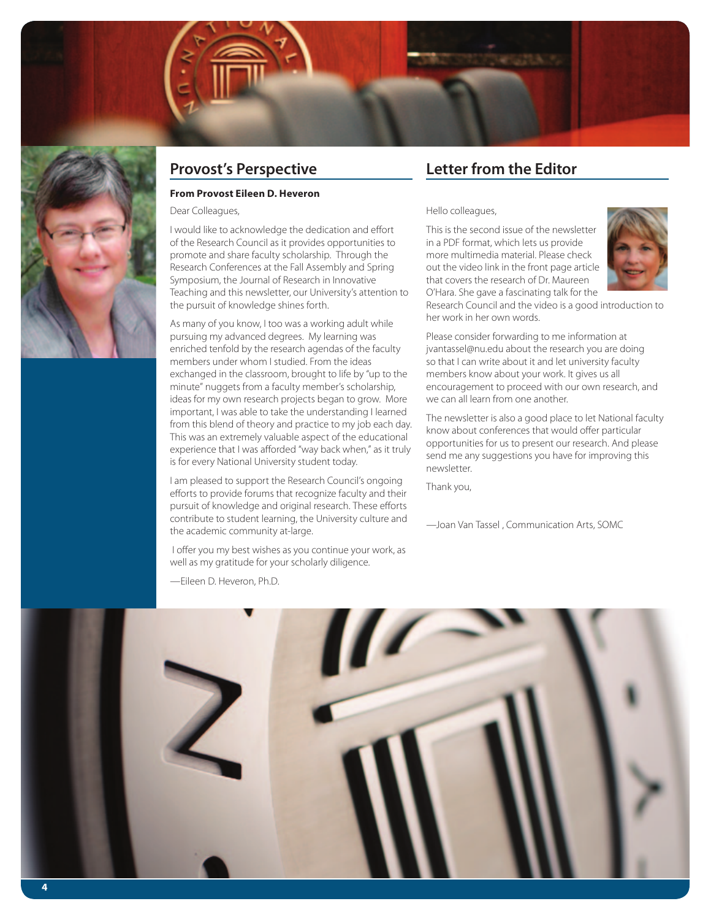

## **Provost's Perspective**

#### **From Provost Eileen D. Heveron**

Dear Colleagues,

I would like to acknowledge the dedication and effort of the Research Council as it provides opportunities to promote and share faculty scholarship. Through the Research Conferences at the Fall Assembly and Spring Symposium, the Journal of Research in Innovative Teaching and this newsletter, our University's attention to the pursuit of knowledge shines forth.

As many of you know, I too was a working adult while pursuing my advanced degrees. My learning was enriched tenfold by the research agendas of the faculty members under whom I studied. From the ideas exchanged in the classroom, brought to life by "up to the minute" nuggets from a faculty member's scholarship, ideas for my own research projects began to grow. More important, I was able to take the understanding I learned from this blend of theory and practice to my job each day. This was an extremely valuable aspect of the educational experience that I was afforded "way back when," as it truly is for every National University student today.

I am pleased to support the Research Council's ongoing efforts to provide forums that recognize faculty and their pursuit of knowledge and original research. These efforts contribute to student learning, the University culture and the academic community at-large.

 I offer you my best wishes as you continue your work, as well as my gratitude for your scholarly diligence.

—Eileen D. Heveron, Ph.D.

## **Letter from the Editor**

Hello colleagues,

This is the second issue of the newsletter in a PDF format, which lets us provide more multimedia material. Please check out the video link in the front page article that covers the research of Dr. Maureen O'Hara. She gave a fascinating talk for the



Research Council and the video is a good introduction to her work in her own words.

Please consider forwarding to me information at jvantassel@nu.edu about the research you are doing so that I can write about it and let university faculty members know about your work. It gives us all encouragement to proceed with our own research, and we can all learn from one another.

The newsletter is also a good place to let National faculty know about conferences that would offer particular opportunities for us to present our research. And please send me any suggestions you have for improving this newsletter.

Thank you,

—Joan Van Tassel , Communication Arts, SOMC

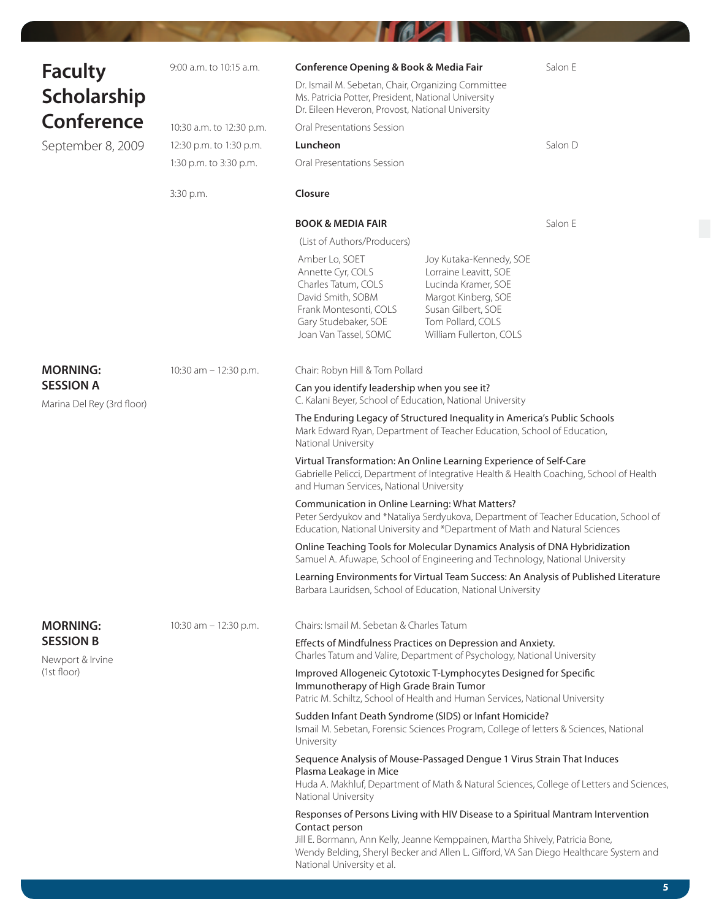|                                      | 9:00 a.m. to 10:15 a.m.  | Conference Opening & Book & Media Fair                                                                                                                                                                                                                                                                     |                                                                                                                                                                      | Salon E                                                                                  |
|--------------------------------------|--------------------------|------------------------------------------------------------------------------------------------------------------------------------------------------------------------------------------------------------------------------------------------------------------------------------------------------------|----------------------------------------------------------------------------------------------------------------------------------------------------------------------|------------------------------------------------------------------------------------------|
| <b>Faculty</b><br><b>Scholarship</b> |                          | Dr. Ismail M. Sebetan, Chair, Organizing Committee<br>Ms. Patricia Potter, President, National University<br>Dr. Eileen Heveron, Provost, National University                                                                                                                                              |                                                                                                                                                                      |                                                                                          |
| <b>Conference</b>                    | 10:30 a.m. to 12:30 p.m. | Oral Presentations Session                                                                                                                                                                                                                                                                                 |                                                                                                                                                                      |                                                                                          |
| September 8, 2009                    | 12:30 p.m. to 1:30 p.m.  | Luncheon                                                                                                                                                                                                                                                                                                   |                                                                                                                                                                      | Salon D                                                                                  |
|                                      | 1:30 p.m. to 3:30 p.m.   | Oral Presentations Session                                                                                                                                                                                                                                                                                 |                                                                                                                                                                      |                                                                                          |
|                                      | 3:30 p.m.                | Closure                                                                                                                                                                                                                                                                                                    |                                                                                                                                                                      |                                                                                          |
|                                      |                          | <b>BOOK &amp; MEDIA FAIR</b>                                                                                                                                                                                                                                                                               |                                                                                                                                                                      | Salon E                                                                                  |
|                                      |                          | (List of Authors/Producers)                                                                                                                                                                                                                                                                                |                                                                                                                                                                      |                                                                                          |
|                                      |                          | Amber Lo, SOET<br>Annette Cyr, COLS<br>Charles Tatum, COLS<br>David Smith, SOBM<br>Frank Montesonti, COLS<br>Gary Studebaker, SOE<br>Joan Van Tassel, SOMC                                                                                                                                                 | Joy Kutaka-Kennedy, SOE<br>Lorraine Leavitt, SOE<br>Lucinda Kramer, SOE<br>Margot Kinberg, SOE<br>Susan Gilbert, SOE<br>Tom Pollard, COLS<br>William Fullerton, COLS |                                                                                          |
| <b>MORNING:</b>                      | 10:30 am $-$ 12:30 p.m.  | Chair: Robyn Hill & Tom Pollard                                                                                                                                                                                                                                                                            |                                                                                                                                                                      |                                                                                          |
| <b>SESSION A</b>                     |                          | Can you identify leadership when you see it?                                                                                                                                                                                                                                                               |                                                                                                                                                                      |                                                                                          |
| Marina Del Rey (3rd floor)           |                          | C. Kalani Beyer, School of Education, National University                                                                                                                                                                                                                                                  |                                                                                                                                                                      |                                                                                          |
|                                      |                          | The Enduring Legacy of Structured Inequality in America's Public Schools<br>Mark Edward Ryan, Department of Teacher Education, School of Education,<br>National University                                                                                                                                 |                                                                                                                                                                      |                                                                                          |
|                                      |                          | Virtual Transformation: An Online Learning Experience of Self-Care<br>Gabrielle Pelicci, Department of Integrative Health & Health Coaching, School of Health<br>and Human Services, National University                                                                                                   |                                                                                                                                                                      |                                                                                          |
|                                      |                          | Communication in Online Learning: What Matters?<br>Education, National University and *Department of Math and Natural Sciences                                                                                                                                                                             |                                                                                                                                                                      | Peter Serdyukov and *Nataliya Serdyukova, Department of Teacher Education, School of     |
|                                      |                          | Online Teaching Tools for Molecular Dynamics Analysis of DNA Hybridization<br>Samuel A. Afuwape, School of Engineering and Technology, National University                                                                                                                                                 |                                                                                                                                                                      |                                                                                          |
|                                      |                          | Barbara Lauridsen, School of Education, National University                                                                                                                                                                                                                                                |                                                                                                                                                                      | Learning Environments for Virtual Team Success: An Analysis of Published Literature      |
| <b>MORNING:</b>                      | 10:30 am - 12:30 p.m.    | Chairs: Ismail M. Sebetan & Charles Tatum                                                                                                                                                                                                                                                                  |                                                                                                                                                                      |                                                                                          |
| <b>SESSION B</b><br>Newport & Irvine |                          | Effects of Mindfulness Practices on Depression and Anxiety.<br>Charles Tatum and Valire, Department of Psychology, National University                                                                                                                                                                     |                                                                                                                                                                      |                                                                                          |
| (1st floor)                          |                          | Improved Allogeneic Cytotoxic T-Lymphocytes Designed for Specific<br>Immunotherapy of High Grade Brain Tumor<br>Patric M. Schiltz, School of Health and Human Services, National University                                                                                                                |                                                                                                                                                                      |                                                                                          |
|                                      |                          | Sudden Infant Death Syndrome (SIDS) or Infant Homicide?<br>Ismail M. Sebetan, Forensic Sciences Program, College of letters & Sciences, National<br>University                                                                                                                                             |                                                                                                                                                                      |                                                                                          |
|                                      |                          | Sequence Analysis of Mouse-Passaged Dengue 1 Virus Strain That Induces<br>Plasma Leakage in Mice<br>National University                                                                                                                                                                                    |                                                                                                                                                                      | Huda A. Makhluf, Department of Math & Natural Sciences, College of Letters and Sciences, |
|                                      |                          | Responses of Persons Living with HIV Disease to a Spiritual Mantram Intervention<br>Contact person<br>Jill E. Bormann, Ann Kelly, Jeanne Kemppainen, Martha Shively, Patricia Bone,<br>Wendy Belding, Sheryl Becker and Allen L. Gifford, VA San Diego Healthcare System and<br>National University et al. |                                                                                                                                                                      |                                                                                          |

**THE REAL PROPERTY OF A REAL PROPERTY**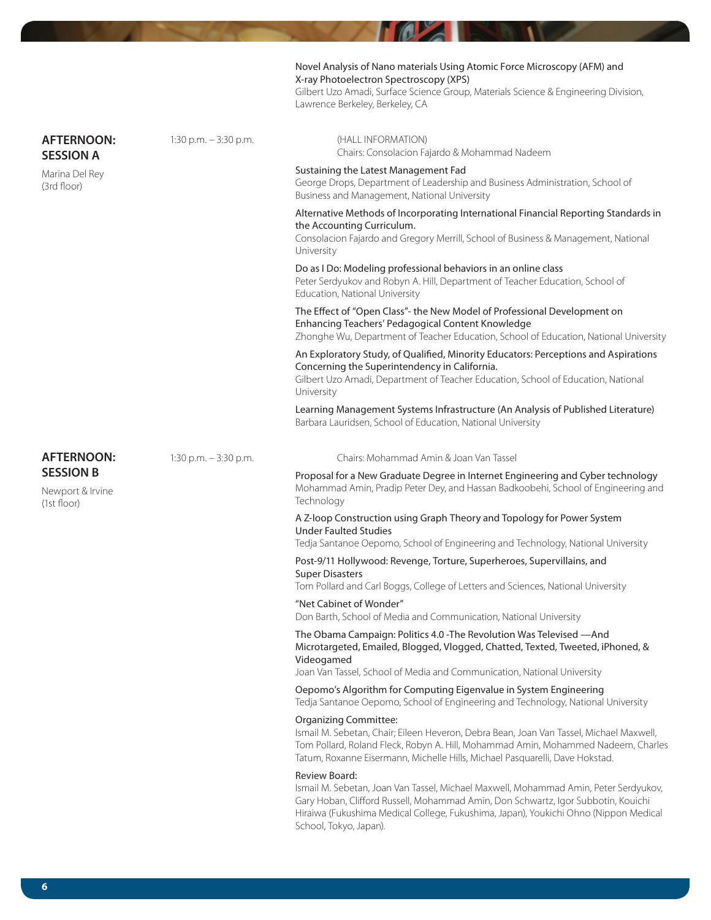|                                                     |                         | Novel Analysis of Nano materials Using Atomic Force Microscopy (AFM) and<br>X-ray Photoelectron Spectroscopy (XPS)<br>Gilbert Uzo Amadi, Surface Science Group, Materials Science & Engineering Division,<br>Lawrence Berkeley, Berkeley, CA                                                 |
|-----------------------------------------------------|-------------------------|----------------------------------------------------------------------------------------------------------------------------------------------------------------------------------------------------------------------------------------------------------------------------------------------|
| <b>AFTERNOON:</b><br><b>SESSION A</b>               | 1:30 p.m. $-$ 3:30 p.m. | (HALL INFORMATION)<br>Chairs: Consolacion Fajardo & Mohammad Nadeem                                                                                                                                                                                                                          |
| Marina Del Rey<br>(3rd floor)                       |                         | Sustaining the Latest Management Fad<br>George Drops, Department of Leadership and Business Administration, School of<br>Business and Management, National University                                                                                                                        |
|                                                     |                         | Alternative Methods of Incorporating International Financial Reporting Standards in<br>the Accounting Curriculum.<br>Consolacion Fajardo and Gregory Merrill, School of Business & Management, National<br>University                                                                        |
|                                                     |                         | Do as I Do: Modeling professional behaviors in an online class<br>Peter Serdyukov and Robyn A. Hill, Department of Teacher Education, School of<br>Education, National University                                                                                                            |
|                                                     |                         | The Effect of "Open Class"- the New Model of Professional Development on<br>Enhancing Teachers' Pedagogical Content Knowledge<br>Zhonghe Wu, Department of Teacher Education, School of Education, National University                                                                       |
|                                                     |                         | An Exploratory Study, of Qualified, Minority Educators: Perceptions and Aspirations<br>Concerning the Superintendency in California.<br>Gilbert Uzo Amadi, Department of Teacher Education, School of Education, National<br>University                                                      |
|                                                     |                         | Learning Management Systems Infrastructure (An Analysis of Published Literature)<br>Barbara Lauridsen, School of Education, National University                                                                                                                                              |
| <b>AFTERNOON:</b>                                   | 1:30 p.m. $-$ 3:30 p.m. | Chairs: Mohammad Amin & Joan Van Tassel                                                                                                                                                                                                                                                      |
| <b>SESSION B</b><br>Newport & Irvine<br>(1st floor) |                         | Proposal for a New Graduate Degree in Internet Engineering and Cyber technology<br>Mohammad Amin, Pradip Peter Dey, and Hassan Badkoobehi, School of Engineering and<br>Technology                                                                                                           |
|                                                     |                         | A Z-loop Construction using Graph Theory and Topology for Power System<br><b>Under Faulted Studies</b><br>Tedja Santanoe Oepomo, School of Engineering and Technology, National University                                                                                                   |
|                                                     |                         | Post-9/11 Hollywood: Revenge, Torture, Superheroes, Supervillains, and<br><b>Super Disasters</b><br>Tom Pollard and Carl Boggs, College of Letters and Sciences, National University                                                                                                         |
|                                                     |                         | "Net Cabinet of Wonder"<br>Don Barth, School of Media and Communication, National University                                                                                                                                                                                                 |
|                                                     |                         | The Obama Campaign: Politics 4.0 - The Revolution Was Televised - And<br>Microtargeted, Emailed, Blogged, Vlogged, Chatted, Texted, Tweeted, iPhoned, &<br>Videogamed<br>Joan Van Tassel, School of Media and Communication, National University                                             |
|                                                     |                         | Oepomo's Algorithm for Computing Eigenvalue in System Engineering<br>Tedja Santanoe Oepomo, School of Engineering and Technology, National University                                                                                                                                        |
|                                                     |                         | <b>Organizing Committee:</b><br>Ismail M. Sebetan, Chair; Eileen Heveron, Debra Bean, Joan Van Tassel, Michael Maxwell,<br>Tom Pollard, Roland Fleck, Robyn A. Hill, Mohammad Amin, Mohammed Nadeem, Charles<br>Tatum, Roxanne Eisermann, Michelle Hills, Michael Pasquarelli, Dave Hokstad. |
|                                                     |                         | Review Board:<br>Ismail M. Sebetan, Joan Van Tassel, Michael Maxwell, Mohammad Amin, Peter Serdyukov,<br>Gary Hoban, Clifford Russell, Mohammad Amin, Don Schwartz, Igor Subbotin, Kouichi<br>Hiraiwa (Fukushima Medical College, Fukushima, Japan), Youkichi Ohno (Nippon Medical           |

**MALL** 

**DE M** 

t.

н

School, Tokyo, Japan).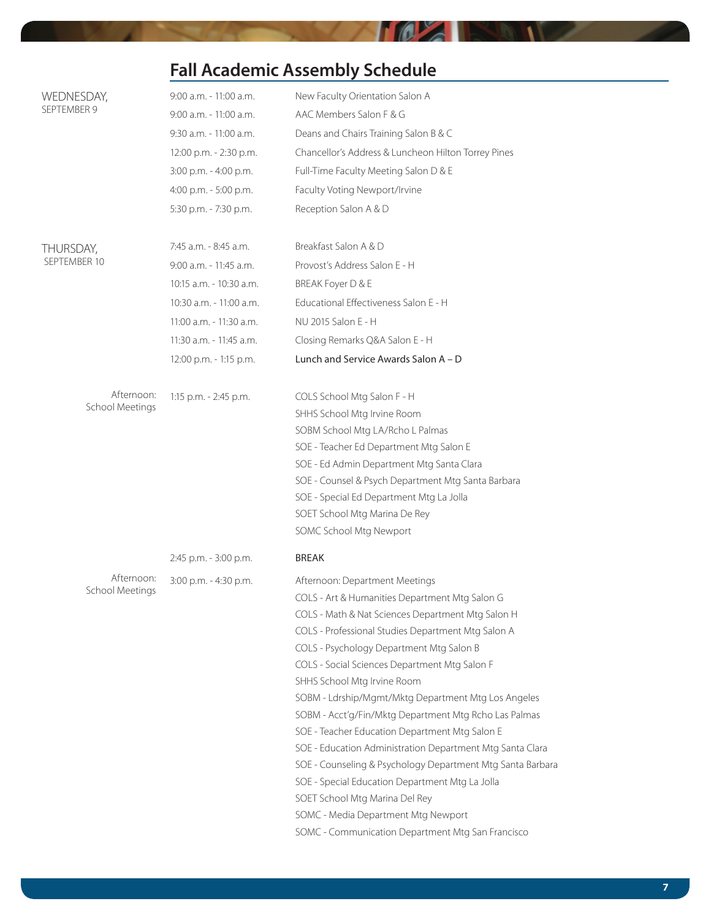## **Fall Academic Assembly Schedule**

**TOZIN** 

**AT A** 

| WEDNESDAY,                    | 9:00 a.m. - 11:00 a.m.  | New Faculty Orientation Salon A                                                                |  |
|-------------------------------|-------------------------|------------------------------------------------------------------------------------------------|--|
| SEPTEMBER 9                   | 9:00 a.m. - 11:00 a.m.  | AAC Members Salon F & G                                                                        |  |
|                               | 9:30 a.m. - 11:00 a.m.  | Deans and Chairs Training Salon B & C                                                          |  |
|                               | 12:00 p.m. - 2:30 p.m.  | Chancellor's Address & Luncheon Hilton Torrey Pines                                            |  |
|                               | 3:00 p.m. - 4:00 p.m.   | Full-Time Faculty Meeting Salon D & E                                                          |  |
|                               | 4:00 p.m. - 5:00 p.m.   | Faculty Voting Newport/Irvine                                                                  |  |
|                               | 5:30 p.m. - 7:30 p.m.   | Reception Salon A & D                                                                          |  |
| THURSDAY,<br>SEPTEMBER 10     | 7:45 a.m. - 8:45 a.m.   | Breakfast Salon A & D                                                                          |  |
|                               | 9:00 a.m. - 11:45 a.m.  | Provost's Address Salon E - H                                                                  |  |
|                               | 10:15 a.m. - 10:30 a.m. | BREAK Foyer D & E                                                                              |  |
|                               | 10:30 a.m. - 11:00 a.m. | Educational Effectiveness Salon E - H                                                          |  |
|                               | 11:00 a.m. - 11:30 a.m. | NU 2015 Salon E - H                                                                            |  |
|                               | 11:30 a.m. - 11:45 a.m. | Closing Remarks Q&A Salon E - H                                                                |  |
|                               | 12:00 p.m. - 1:15 p.m.  | Lunch and Service Awards Salon A - D                                                           |  |
| Afternoon:                    | 1:15 p.m. - 2:45 p.m.   | COLS School Mtg Salon F - H                                                                    |  |
| School Meetings               |                         | SHHS School Mtg Irvine Room                                                                    |  |
|                               |                         | SOBM School Mtg LA/Rcho L Palmas                                                               |  |
|                               |                         | SOE - Teacher Ed Department Mtg Salon E                                                        |  |
|                               |                         | SOE - Ed Admin Department Mtg Santa Clara                                                      |  |
|                               |                         | SOE - Counsel & Psych Department Mtg Santa Barbara                                             |  |
|                               |                         | SOE - Special Ed Department Mtg La Jolla                                                       |  |
|                               |                         | SOET School Mtg Marina De Rey                                                                  |  |
|                               |                         | SOMC School Mtg Newport                                                                        |  |
|                               | 2:45 p.m. - 3:00 p.m.   | <b>BREAK</b>                                                                                   |  |
| Afternoon:<br>School Meetings | 3:00 p.m. - 4:30 p.m.   | Afternoon: Department Meetings                                                                 |  |
|                               |                         | COLS - Art & Humanities Department Mtg Salon G                                                 |  |
|                               |                         | COLS - Math & Nat Sciences Department Mtg Salon H                                              |  |
|                               |                         | COLS - Professional Studies Department Mtg Salon A<br>COLS - Psychology Department Mtg Salon B |  |
|                               |                         | COLS - Social Sciences Department Mtg Salon F                                                  |  |
|                               |                         | SHHS School Mtg Irvine Room                                                                    |  |
|                               |                         | SOBM - Ldrship/Mgmt/Mktg Department Mtg Los Angeles                                            |  |
|                               |                         | SOBM - Acct'g/Fin/Mktg Department Mtg Rcho Las Palmas                                          |  |
|                               |                         | SOE - Teacher Education Department Mtg Salon E                                                 |  |
|                               |                         | SOE - Education Administration Department Mtg Santa Clara                                      |  |
|                               |                         | SOE - Counseling & Psychology Department Mtg Santa Barbara                                     |  |
|                               |                         | SOE - Special Education Department Mtg La Jolla                                                |  |
|                               |                         | SOET School Mtg Marina Del Rey                                                                 |  |
|                               |                         | SOMC - Media Department Mtg Newport                                                            |  |
|                               |                         | SOMC - Communication Department Mtg San Francisco                                              |  |